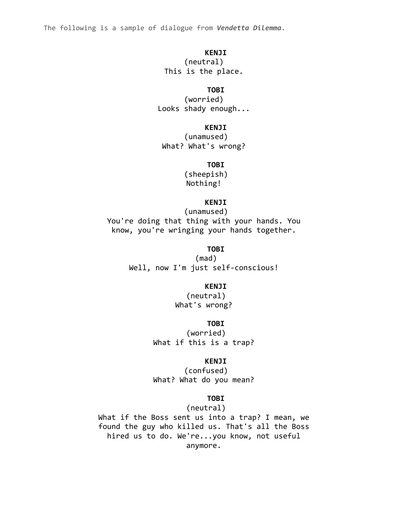#### **KENJI**

(neutral) This is the place.

#### **TOBI**

(worried) Looks shady enough...

## **KENJI**

(unamused) What? What's wrong?

## **TOBI**

(sheepish) Nothing!

#### **KENJI**

(unamused) You're doing that thing with your hands. You know, you're wringing your hands together.

#### **TOBI**

(mad) Well, now I'm just self-conscious!

## **KENJI**

(neutral) What's wrong?

#### **TOBI**

(worried) What if this is a trap?

#### **KENJI**

(confused) What? What do you mean?

## **TOBI**

(neutral) What if the Boss sent us into a trap? I mean, we found the guy who killed us. That's all the Boss hired us to do. We're...you know, not useful anymore.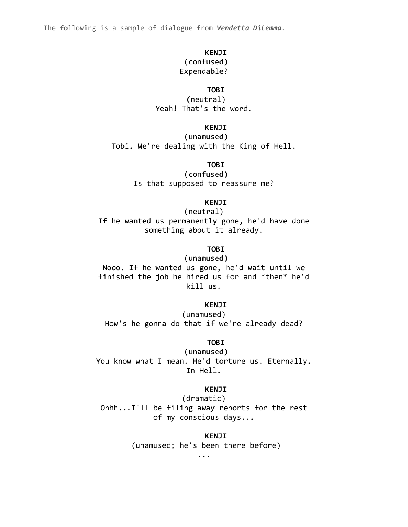#### **KENJI**

# (confused)

# Expendable?

## **TOBI**

(neutral) Yeah! That's the word.

## **KENJI**

(unamused) Tobi. We're dealing with the King of Hell.

## **TOBI**

(confused) Is that supposed to reassure me?

## **KENJI**

(neutral) If he wanted us permanently gone, he'd have done something about it already.

## **TOBI**

(unamused) Nooo. If he wanted us gone, he'd wait until we finished the job he hired us for and \*then\* he'd kill us.

#### **KENJI**

(unamused) How's he gonna do that if we're already dead?

#### **TOBI**

(unamused) You know what I mean. He'd torture us. Eternally. In Hell.

## **KENJI**

(dramatic)

Ohhh...I'll be filing away reports for the rest of my conscious days...

## **KENJI**

(unamused; he's been there before)

...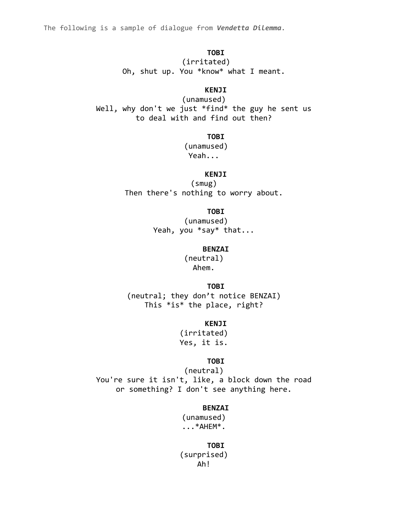**TOBI** (irritated) Oh, shut up. You \*know\* what I meant.

## **KENJI**

(unamused) Well, why don't we just \*find\* the guy he sent us to deal with and find out then?

**TOBI**

(unamused) Yeah...

**KENJI**

(smug) Then there's nothing to worry about.

**TOBI**

(unamused) Yeah, you \*say\* that...

**BENZAI**

(neutral) Ahem.

**TOBI**

(neutral; they don't notice BENZAI) This \*is\* the place, right?

## **KENJI**

(irritated) Yes, it is.

#### **TOBI**

(neutral) You're sure it isn't, like, a block down the road or something? I don't see anything here.

#### **BENZAI**

(unamused) ...\*AHEM\*.

**TOBI** (surprised) Ah!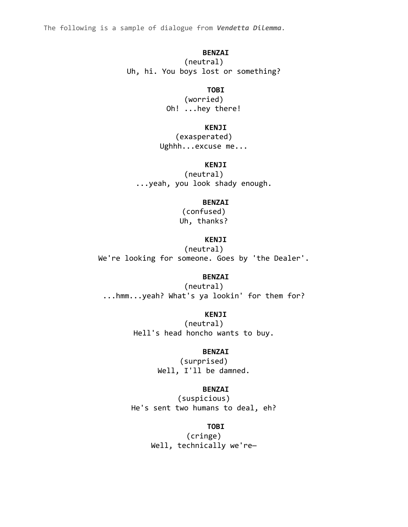#### **BENZAI**

(neutral) Uh, hi. You boys lost or something?

#### **TOBI**

(worried) Oh! ...hey there!

#### **KENJI**

(exasperated) Ughhh...excuse me...

## **KENJI**

(neutral) ...yeah, you look shady enough.

#### **BENZAI**

(confused) Uh, thanks?

## **KENJI**

(neutral) We're looking for someone. Goes by 'the Dealer'.

## **BENZAI**

(neutral) ...hmm...yeah? What's ya lookin' for them for?

**KENJI**

(neutral) Hell's head honcho wants to buy.

#### **BENZAI**

(surprised) Well, I'll be damned.

## **BENZAI**

(suspicious) He's sent two humans to deal, eh?

#### **TOBI**

(cringe) Well, technically we're-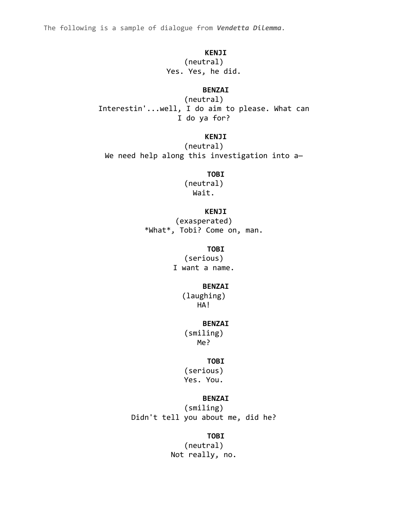#### **KENJI**

(neutral) Yes. Yes, he did.

## **BENZAI**

(neutral) Interestin'...well, I do aim to please. What can I do ya for?

# **KENJI**

(neutral) We need help along this investigation into a-

#### **TOBI**

(neutral) Wait.

## **KENJI**

(exasperated) \*What\*, Tobi? Come on, man.

## **TOBI**

(serious) I want a name.

#### **BENZAI**

(laughing) HA!

#### **BENZAI**

(smiling) Me?

#### **TOBI**

(serious) Yes. You.

## **BENZAI**

(smiling) Didn't tell you about me, did he?

# **TOBI**

(neutral) Not really, no.